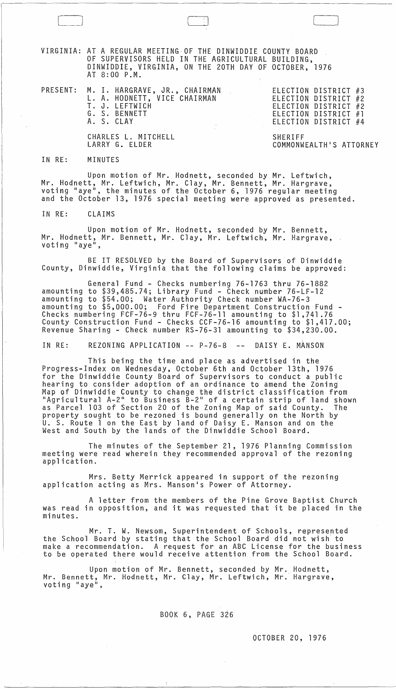VIRGINIA: AT A REGULAR MEETING,OF THE DINWIDDIE COUNTY BOARD OF SUPERVISORS HELD IN THE AGRICULTURAL BUILDING, DINWIDDIE, VIRGINIA, ON THE 20TH DAY OF OCTOBER, 1976 AT 8:00 P.M.

 $\Box$ 

PRESENT: M. I. HARGRAVE, JR., CHAIRMAN L. A. HODNETT, VICE CHAIRMAN T. J. LEFTWICH G. S. BENNETT A. S. CLAY

ELECTION DISTRICT #3 ELECTION DISTRICT #2 ELECTION DISTRICT #2 ELECTION DISTRICT #1 ELECTION DISTRICT #4

CHARLES L. MITCHELL LARRY G. ELDER

SHERIFF COMMONWEALTH'S ATTORNEY

## IN RE: MINUTES

Upon motion of Mr. Hodnett, seconded by Mr. Leftwich, Mr. Hodnett, Mr. Leftwich, Mr. Clay, Mr. Bennett, Mr. Hargrave, voting "aye", the minutes of the October 6, 1976 regular meeting and the October 13, 1976 special meeting were approved as presented.

IN RE: CLAIMS

Upon motion of Mr. Hodnett, seconded by Mr. Bennett, Mr. Hodnett, Mr. Bennett, Mr. Clay, Mr. Leftwich, Mr. Hargrave, .<br>voting "aye",

BE IT RESOLVED by the Board of Supervisors of Dinwiddie County, Dinwiddie, Virginia that the following claims be approved:

General Fund - Checks numbering 76-1763 thru 76-1882 amounting to \$39,485.74; Library Fund - Check number 76-LF-12 amounting to \$54.00; Water Authority Check number WA-76-3 amounting to \$5,000.00; Ford Fire Department Construction Fund - Checks numbering FCF-76-9 thru FCF-76-11 amounting to \$1,741.76 County Construction Fund - Checks CCF-76-16 amounting to \$1,417.00; Revenue Sharing - Check number RS-76-31 amounting to \$34,230.00.

IN RE: REZONING APPLICATION -- P-76-8 -- DAISY E. MANSON

This being the time and place as advertised in the Progress-Index on Wednesday, October 6th and October 13th, 1976 for the Dinwiddie County Board of Supervisors to conduct a public hearing to consider adoption of an ordinance to amend the Zoning Map of Dinwiddie County to change the district classification from "Agricultural A-2" to Business B-2" of a certain strip of land shown as Parcel 103 of Section 20 of the Zoning Map of said County. The property sought to be rezoned is bound generally on the North by U. S. Route 1 on the East by land of Daisy E. Manson and on the West and South by the lands of the Dinwiddie School Board.

The minutes of the September 21, 1976 Planning Commission meeting were read wherein they recommended approval of the rezoning<br>application.

Mrs. Betty Merrick appeared in support of the rezoning application acting as Mrs. Manson's Power of Attorney.

A letter from the members of the Pine Grove Baptist Church was read in opposition, and it was requested that it be placed in the minutes.

Mr. T. W. Newsom, Superintendent of Schools, represented the School Board by stating that the School Board did not wish to make a recommendation. A request for an ABC License for the business to be operated there would receive attention from the School Board.

Upon motion of Mr. Bennett, seconded by Mr. Hodnett,<br>Bennett, Mr. Hodnett, Mr. Clay, Mr. Leftwich, Mr. Hargrave Mr. Bennett, Mr. Hodnett, Mr. Clay, Mr. Leftwich, Mr. Hargrave, voting "aye",

BOOK 6, PAGE 326

OCTOBER 20, 1976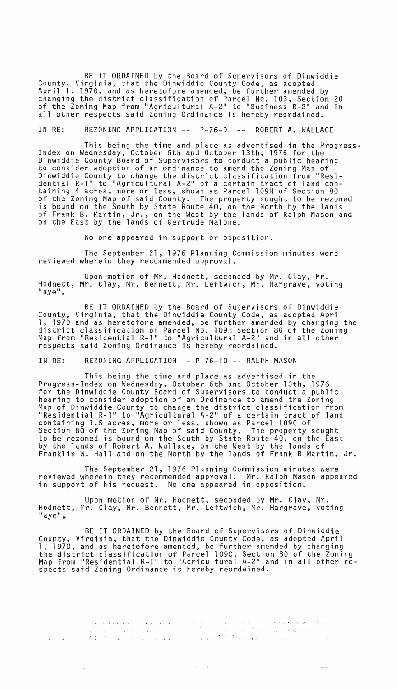BE IT ORDAINED by the Board of Supervisors of Dinwiddie County, Virginia, that the Dinwiddie County Code, as adopted April 1, 1970, and as heretofore amended, be further amended by changing the district classification of Parcel No. 103, Section 20 of the Zoning Map from "Agricultural A-2" to "Business B-2" and in all other respects said Zoning Ordinance is hereby reordained.

IN RE: REZONING APPLICATION -- P-76-9 -- ROBERT A. WALLACE

This being the time and place as advertised in the Progress- Index on Wednesday, October 6th and October 13th, 1976 for the Dinwiddie County Board of Supervisors to conduct a public hearing to consider adoption of an ordinance to amend the Zoning Map of Dinwiddie County to change the district classification from IIResidential R-1" to "Agricultural A-2" of a certain tract of land containing 4 acres, more or less, shown as Parcel 109H of Section 80 of the Zoning Map of said County. The property sought to be rezoned is bound on the South by State Route 40, on the North by the lands of Frank B. Martin, Jr., on the West by the lands of Ralph Mason and on the East by the lands of Gertrude Malone.

No one appeared in support or opposition.

The September 21, 1976 Planning Commission minutes were reviewed wherein they recommended approval.

Upon motion of Mr. Hodnett, seconded by Mr. Clay, Mr. Hodnett, Mr. Clay, Mr. Bennett, Mr. Leftwich, Mr. Hargrave, voting<br>"aye",

BE IT ORDAINED by the Board of Supervisors of Dinwiddie County, Virginia, that the Dinwiddie County Code, as adopted April 1, 1970 and as heretofore amended, be further amended by changing the district classification of Parcel No. 109H Section 80 of the Zoning<br>Map from "Residential R-1" to "Agricultural A-2" and in all other respects said Zoning Ordinance is hereby reordained.

IN RE: REZONING APPLICATION **--** P-76-10 **--** RALPH MASON

This being the time and place as advertised in the Progress-Index on Wednesday, October 6th and October 13th, 1976 for the Dinwiddie County Board of Supervisors to conduct a public hearing to consider adoption of an Ordinance to amend the Zoning Map of Dinwiddie County to change the district classification from IIIP of Binnicate Soundy to Shunge the unstricted crussification from containing 1.5 acres, more or less, shown as Parcel 109C of Section 80 of the Zoning Map of said County. The property sought to be rezoned is bound on the South by State Route 40, on the East by the lands of Robert A. Wallace, on the West by the lands of Franklin W. Hall and on the North by the lands of Frank B Martin, Jr.

The September 21, 1976 Planning Commission minutes were reviewed wherein they recommended approval. Mr. Ralph Mason appeared in support of his request. No one appeared in opposition.

Upon motion of Mr. Hodnett, seconded by Mr. Clay, Mr. Hodnett, Mr. Clay, Mr. Bennett, Mr. Leftwich, Mr. Hargrave, voting  $"$ aye",

BE IT ORDAINED by the Board of Supervisors of Dinwiddie County, Virginia, that the Dinwiddie County Code, as adopted April 1, 1970, and as heretofore amended, be further amended by changing the district classification of Parcel 109C, Section 80 of the Zoning<br>The district classification of Parcel 109C, Section 80 of the Zoning<br>Map from "Residential R-1" to "Agricultural A-2" and in all other respects said Zoning Ordinance is hereby reordained.

a de la componencia de la componencia de la casa de la casa de la casa de la casa de la casa de la casa de la<br>En 1940, la componencia de la casa de la casa de la casa de la casa de la casa de la casa de la casa de la cas<br>E

 $\mathcal{A}(\mathcal{A})$  ,  $\mathcal{A}(\mathcal{A})$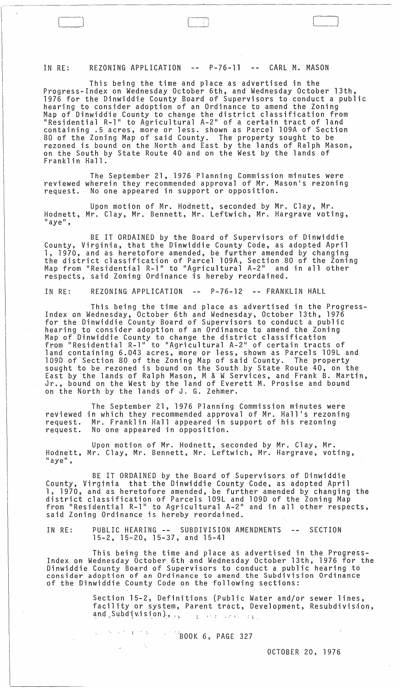IN RE: REZONING APPLICATION -- P-76-11 -- CARL M. MASON

 $\Box$ 

This being the time and place as advertised in the Progress-Index on Wednesday October 6th, and Wednesday October 13th, 1976 for the Dinwiddie County Board of Supervisors to conduct a public hearing to consider adoption of an Ordinance to amend the Zoning Map of Dinwiddie County to change the district classification from IIIP SI SIMMILATION TO SAMPLE STANDS SINCE THE CONTROL CONTROL TO A CERTAIN TRACT Of land containing .5 acres, more or less. shown as Parcel 109A of Section 80 of the Zoning Map of said County. The property sought to be rezoned is bound on the North and East by the lands of Ralph Mason, on the South by State Route 40 and on the West by the lands of Frankl in Hall.

The September 21, 1976 Planning Commission minutes were<br>reviewed wherein they recommended approval of Mr. Mason's rezoning request. No one appeared in support or opposition.

Upon motion of Mr. Hodnett, seconded by Mr. Clay, Mr. Hodnett, Mr. Clay, Mr. Bennett, Mr. Leftwich, Mr. Hargrave voting, "aye",

BE IT ORDAINED by the Board of Supervisors of Dinwiddie County, Virginia, that the Dinwiddie County Code, as adopted April 1, 1970, and as heretofore amended, be further amended by changing the district classification of Parcel 109A, Section 80 of the Zoning map from "Residential R-1" to "Agricultural A-2" and in all other respects, said Zoning Ordinance is hereby reordained.

IN RE: REZONING APPLICATION -- P-76-12 -- FRANKLIN HALL

This being the time and place as advertised in the Progress-Index on Wednesday, October 6th and Wednesday, October 13th, 1976 for the Dinwiddie County Board of Supervisors to conduct a public hearing to consider adoption of an Ordinance to amend the Zoning Map of Dinwiddie County to change the district classification from "Residential R-1" to "Agricultural A-2" of certain tracts of land containing 6.043 acres, more or less, shown as Parcels 109L and 109D of Section 80 of the Zoning Map of said County. The property sought to be rezoned is bound on the South by State Route 40, on the East by the lands of Ralph Mason, M & W Services, and Frank B. Martin, Jr., bound on the West by the land of Everett M. Prosise and bound on the North by the lands of J. G. Zehmer.

reviewed in which they recommended approval of Mr. Hall's rezoning request. request. The September 21, 1976 Planning Commission minutes were Mr. Franklin Hall appeared in support of his rezoning No one appeared in opposition.

Upon motion of Mr. Hodnett, seconded by Mr. Clay, Mr. Hodnett, Mr. Clay, Mr. Bennett, Mr. Leftwich, Mr. Hargrave, voting,<br>"aye",

BE IT ORDAINED by the Board of Supervisors of Dinwiddie County, Virginia that the Dinwiddie County Code, as adopted April 1, 1970, and as heretofore amended, be further amended by changing the district classification of Parcels 109L and 109D of the Zoning Map<br>from "Residential R-1" to Agricultural A-2" and in all other respects, said Zoning Ordinance is hereby reordained.

 $\sim$   $-$ IN RE: PUBLIC HEARING -- SUBDIVISION AMENDMENTS SECTION 15-2, 15-20, 15-37, and 15-41

This being the time and place as advertised in the Progress- Index on Wednesday October 6th and Wednesday October 13th, 1976 for the Dinwiddie County Board of Supervisors to conduct a public hearing to consider adoption of an Ordinance to amend the Subdivision Ordinance of the Dinwiddie County Code on the following sections:

> Section 15-2, Definitions (Public Water and/or sewer lines, facility or system, Parent tract, Development, Resubdivision,  $and$  Subdivision),  $\frac{1}{1}$  if the set  $\frac{1}{1}$ .

> > $\sqrt{3}$ BOOK 6, PAGE 327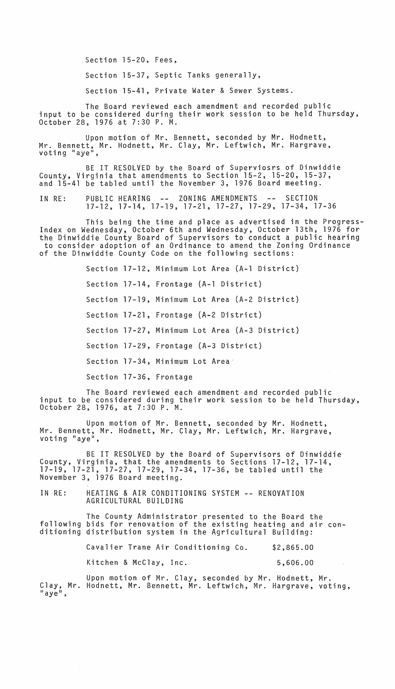Section 15-20, Fees,

Section 15-37, Septic Tanks generally,

Section 15-41, Private Water & Sewer Systems.

The Board reviewed each amendment and recorded public input to be considered during their work session to be held Thursday, October 28, 1976 at 7:30 P. M.

Upon motion of Mr. Bennett, seconded by Mr. Hodnett, Mr. Bennett, Mr. Hodnett, Mr. Clay, Mr. Leftwich, Mr. Hargrave,

BE IT RESOLVED by the Board of Superviosrs of Dinwiddie County, Virginia that amendments to Section 15-2, 15-20, 15-37, and 15-41 be tabled until the November 3, 1976 Board meeting.

IN RE: PUBLIC HEARING -- ZONING AMENDMENTS -- SECTION 17-12, 17-14, 17-19, 17-21, 17-27, 17-29, 17-34, 17-36

This being the time and place as advertised in the Progress-Index on Wednesday, October 6th and Wednesday, October 13th, 1976 for the Dinwiddie County Board of Supervisors to conduct a public hearing to consider adoption of an Ordinance to amend the Zoning Ordinance of the Dinwiddie County Code on the following sections:

> Section 17-12, Minimum Lot Area (A-l District) Section 17-14, Frontage (A-l District) Section 17-19, Minimum Lot Area (A-2 District) Section 17-21, Frontage (A-2 District) Section 17-27, Minimum Lot Area (A-3 District) Section 17-29, Frontage (A-3 District) Section 17-34, Minimum Lot Area Section 17-36, Frontage

The Board reviewed each amendment and recorded public<br>input to be considered during their work session to be held Thursday,<br>October 28, 1976, at 7:30 P. M.

Upon motion of Mr. Bennett, seconded by Mr. Hodnett, Mr. Bennett, Mr. Hodnett, Mr. Clay, Mr. Leftwich, Mr. Hargrave,<br>voting "aye",

BE IT RESOLVED by the Board of Supervisors of Dinwiddie County, Virginia, that the amendments to Sections 17-12, 17-14, 17-19, 17-21, 17-27, 17-29, 17-34, 17-36, be tabled until the November 3, 1976 Board meeting.

IN RE: HEATING & AIR CONDITIONING SYSTEM **--** RENOVATION AGRICULTURAL BUILDING

The County Administrator presented to the Board the following bids for renovation of the existing heating and air conditioning distribution system in the Agricultural Building:

> Cavalier Trane Air Conditioning Co. \$2,865.00

Kitchen & McClay, Inc. 5,606.00

Upon motion of Mr. Clay, seconded by Mr. Hodnett, Mr. Clay, Mr. Hodnett, Mr. Bennett, Mr. Leftwich, Mr. Hargrave, voting,<br>"aye",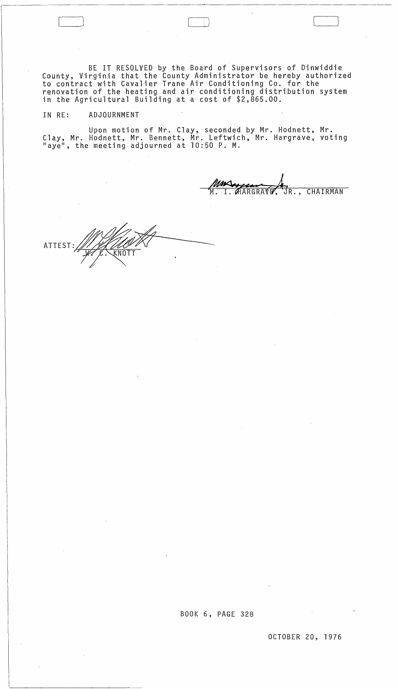BE IT RESOLVED by the Board of Supervisors of Dinwiddie County, Virginia that the County Administrator be hereby authorized to contract with Cavalier Trane Air Conditioning Co. for the renovation of the heating and air conditioning distribution system in the Agricultural Building at a cost of \$2,865.00.

## IN RE: ADJOURNMENT

 $\sim 0.01$ 

Upon motion of Mr. Clay, seconded by Mr. Hodnett, Mr. Clay, Mr. Hodnett, Mr. Bennett, Mr. Leftwich, Mr. Hargrave, voting "aye", the meeting adjourned at 10:50 P. M.

HARGRAVE, JR., CHAIRMAN

ATTEST: KNOT

J )

 $\mathcal{L}^{\mathcal{L}}(\mathcal{L}^{\mathcal{L}})$  and  $\mathcal{L}^{\mathcal{L}}(\mathcal{L}^{\mathcal{L}})$  and  $\mathcal{L}^{\mathcal{L}}(\mathcal{L}^{\mathcal{L}})$  and  $\mathcal{L}^{\mathcal{L}}(\mathcal{L}^{\mathcal{L}})$ 

 $\bar{\chi}$